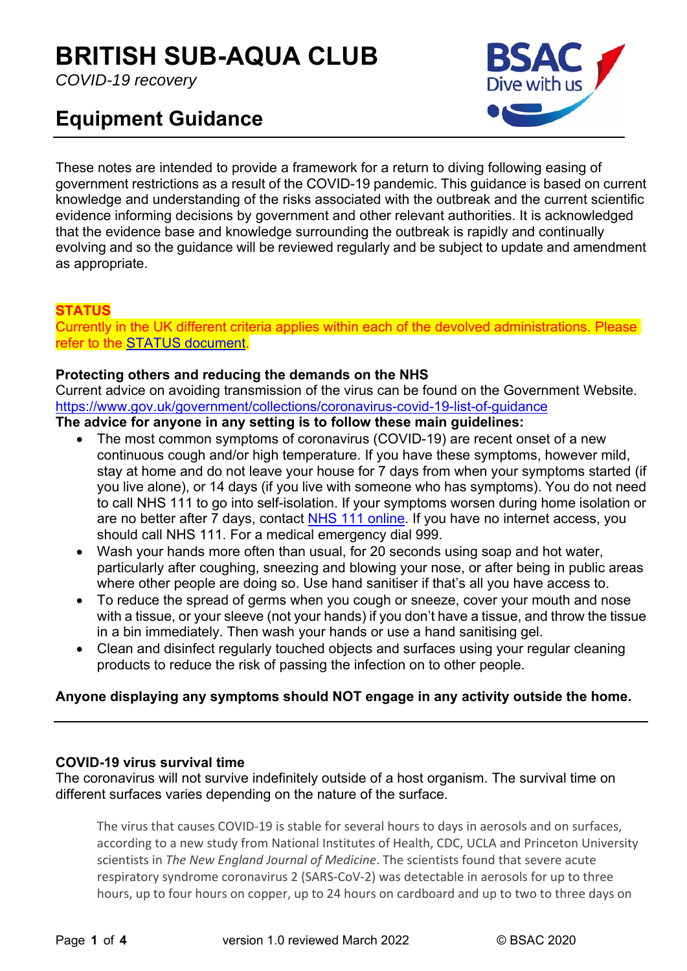# **BRITISH SUB-AQUA CLUB**

*COVID-19 recovery* 

# **Equipment Guidance**



These notes are intended to provide a framework for a return to diving following easing of government restrictions as a result of the COVID-19 pandemic. This guidance is based on current knowledge and understanding of the risks associated with the outbreak and the current scientific evidence informing decisions by government and other relevant authorities. It is acknowledged that the evidence base and knowledge surrounding the outbreak is rapidly and continually evolving and so the guidance will be reviewed regularly and be subject to update and amendment as appropriate.

# **STATUS**

Currently in the UK different criteria applies within each of the devolved administrations. Please refer to the STATUS document.

## **Protecting others and reducing the demands on the NHS**

Current advice on avoiding transmission of the virus can be found on the Government Website. https://www.gov.uk/government/collections/coronavirus-covid-19-list-of-guidance

# **The advice for anyone in any setting is to follow these main guidelines:**

- The most common symptoms of coronavirus (COVID-19) are recent onset of a new continuous cough and/or high temperature. If you have these symptoms, however mild, stay at home and do not leave your house for 7 days from when your symptoms started (if you live alone), or 14 days (if you live with someone who has symptoms). You do not need to call NHS 111 to go into self-isolation. If your symptoms worsen during home isolation or are no better after 7 days, contact NHS 111 online. If you have no internet access, you should call NHS 111. For a medical emergency dial 999.
- Wash your hands more often than usual, for 20 seconds using soap and hot water, particularly after coughing, sneezing and blowing your nose, or after being in public areas where other people are doing so. Use hand sanitiser if that's all you have access to.
- To reduce the spread of germs when you cough or sneeze, cover your mouth and nose with a tissue, or your sleeve (not your hands) if you don't have a tissue, and throw the tissue in a bin immediately. Then wash your hands or use a hand sanitising gel.
- Clean and disinfect regularly touched objects and surfaces using your regular cleaning products to reduce the risk of passing the infection on to other people.

# **Anyone displaying any symptoms should NOT engage in any activity outside the home.**

## **COVID-19 virus survival time**

The coronavirus will not survive indefinitely outside of a host organism. The survival time on different surfaces varies depending on the nature of the surface.

The virus that causes COVID-19 is stable for several hours to days in aerosols and on surfaces, according to a new study from National Institutes of Health, CDC, UCLA and Princeton University scientists in *The New England Journal of Medicine*. The scientists found that severe acute respiratory syndrome coronavirus 2 (SARS‐CoV‐2) was detectable in aerosols for up to three hours, up to four hours on copper, up to 24 hours on cardboard and up to two to three days on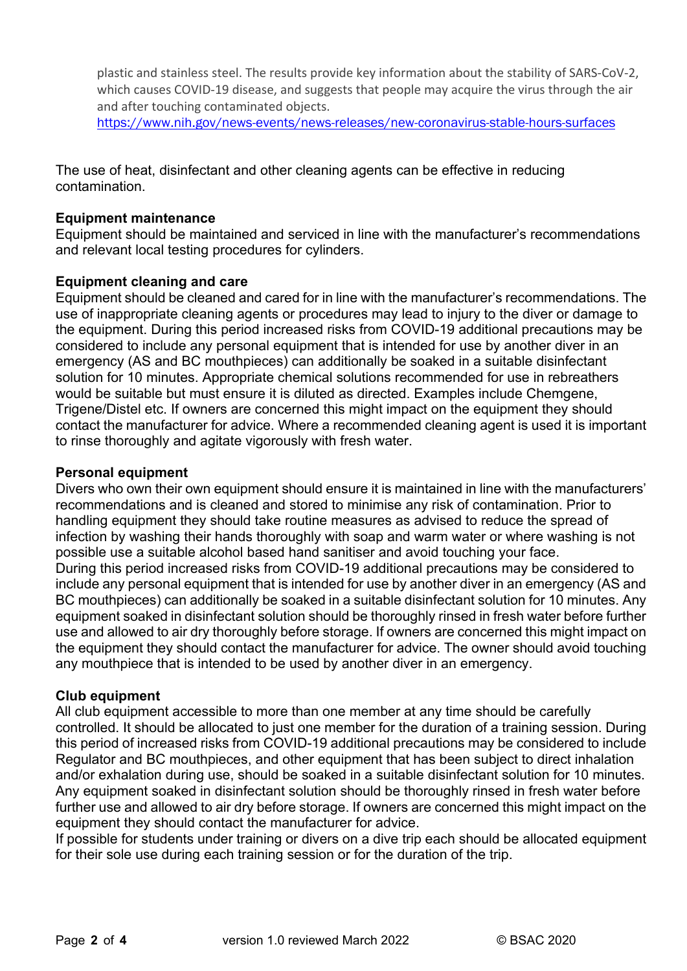plastic and stainless steel. The results provide key information about the stability of SARS‐CoV‐2, which causes COVID-19 disease, and suggests that people may acquire the virus through the air and after touching contaminated objects.

https://www.nih.gov/news-events/news-releases/new-coronavirus-stable-hours-surfaces

The use of heat, disinfectant and other cleaning agents can be effective in reducing contamination.

#### **Equipment maintenance**

Equipment should be maintained and serviced in line with the manufacturer's recommendations and relevant local testing procedures for cylinders.

#### **Equipment cleaning and care**

Equipment should be cleaned and cared for in line with the manufacturer's recommendations. The use of inappropriate cleaning agents or procedures may lead to injury to the diver or damage to the equipment. During this period increased risks from COVID-19 additional precautions may be considered to include any personal equipment that is intended for use by another diver in an emergency (AS and BC mouthpieces) can additionally be soaked in a suitable disinfectant solution for 10 minutes. Appropriate chemical solutions recommended for use in rebreathers would be suitable but must ensure it is diluted as directed. Examples include Chemgene, Trigene/Distel etc. If owners are concerned this might impact on the equipment they should contact the manufacturer for advice. Where a recommended cleaning agent is used it is important to rinse thoroughly and agitate vigorously with fresh water.

#### **Personal equipment**

Divers who own their own equipment should ensure it is maintained in line with the manufacturers' recommendations and is cleaned and stored to minimise any risk of contamination. Prior to handling equipment they should take routine measures as advised to reduce the spread of infection by washing their hands thoroughly with soap and warm water or where washing is not possible use a suitable alcohol based hand sanitiser and avoid touching your face. During this period increased risks from COVID-19 additional precautions may be considered to include any personal equipment that is intended for use by another diver in an emergency (AS and BC mouthpieces) can additionally be soaked in a suitable disinfectant solution for 10 minutes. Any equipment soaked in disinfectant solution should be thoroughly rinsed in fresh water before further use and allowed to air dry thoroughly before storage. If owners are concerned this might impact on the equipment they should contact the manufacturer for advice. The owner should avoid touching any mouthpiece that is intended to be used by another diver in an emergency.

#### **Club equipment**

All club equipment accessible to more than one member at any time should be carefully controlled. It should be allocated to just one member for the duration of a training session. During this period of increased risks from COVID-19 additional precautions may be considered to include Regulator and BC mouthpieces, and other equipment that has been subject to direct inhalation and/or exhalation during use, should be soaked in a suitable disinfectant solution for 10 minutes. Any equipment soaked in disinfectant solution should be thoroughly rinsed in fresh water before further use and allowed to air dry before storage. If owners are concerned this might impact on the equipment they should contact the manufacturer for advice.

If possible for students under training or divers on a dive trip each should be allocated equipment for their sole use during each training session or for the duration of the trip.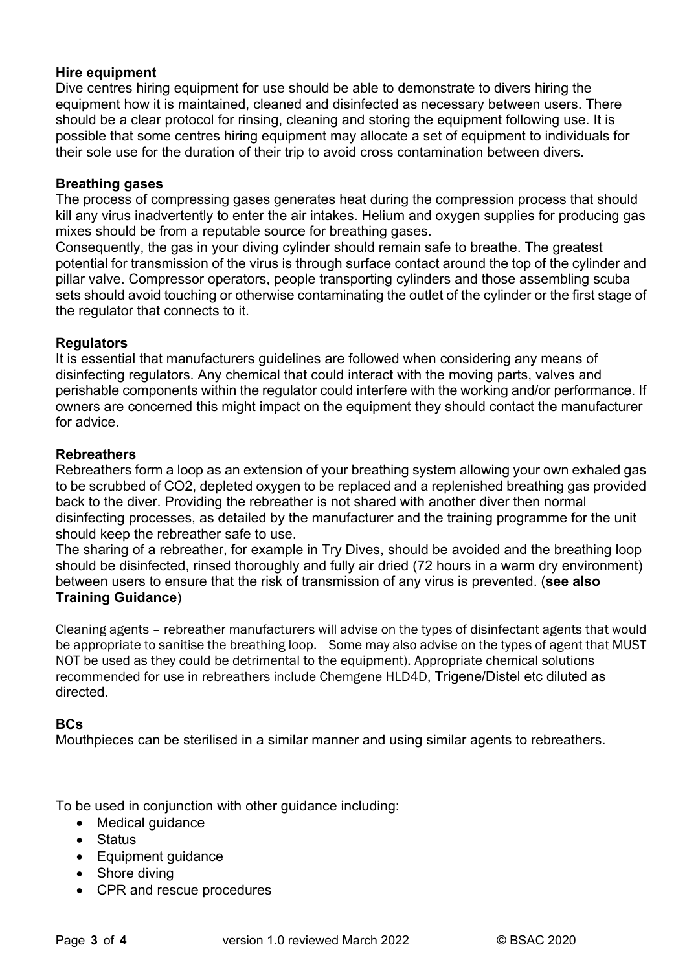#### **Hire equipment**

Dive centres hiring equipment for use should be able to demonstrate to divers hiring the equipment how it is maintained, cleaned and disinfected as necessary between users. There should be a clear protocol for rinsing, cleaning and storing the equipment following use. It is possible that some centres hiring equipment may allocate a set of equipment to individuals for their sole use for the duration of their trip to avoid cross contamination between divers.

#### **Breathing gases**

The process of compressing gases generates heat during the compression process that should kill any virus inadvertently to enter the air intakes. Helium and oxygen supplies for producing gas mixes should be from a reputable source for breathing gases.

Consequently, the gas in your diving cylinder should remain safe to breathe. The greatest potential for transmission of the virus is through surface contact around the top of the cylinder and pillar valve. Compressor operators, people transporting cylinders and those assembling scuba sets should avoid touching or otherwise contaminating the outlet of the cylinder or the first stage of the regulator that connects to it.

#### **Regulators**

It is essential that manufacturers guidelines are followed when considering any means of disinfecting regulators. Any chemical that could interact with the moving parts, valves and perishable components within the regulator could interfere with the working and/or performance. If owners are concerned this might impact on the equipment they should contact the manufacturer for advice.

#### **Rebreathers**

Rebreathers form a loop as an extension of your breathing system allowing your own exhaled gas to be scrubbed of CO2, depleted oxygen to be replaced and a replenished breathing gas provided back to the diver. Providing the rebreather is not shared with another diver then normal disinfecting processes, as detailed by the manufacturer and the training programme for the unit should keep the rebreather safe to use.

The sharing of a rebreather, for example in Try Dives, should be avoided and the breathing loop should be disinfected, rinsed thoroughly and fully air dried (72 hours in a warm dry environment) between users to ensure that the risk of transmission of any virus is prevented. (**see also Training Guidance**)

Cleaning agents – rebreather manufacturers will advise on the types of disinfectant agents that would be appropriate to sanitise the breathing loop. Some may also advise on the types of agent that MUST NOT be used as they could be detrimental to the equipment). Appropriate chemical solutions recommended for use in rebreathers include Chemgene HLD4D, Trigene/Distel etc diluted as directed.

#### **BCs**

Mouthpieces can be sterilised in a similar manner and using similar agents to rebreathers.

To be used in conjunction with other guidance including:

- Medical quidance
- Status
- Equipment guidance
- Shore diving
- CPR and rescue procedures